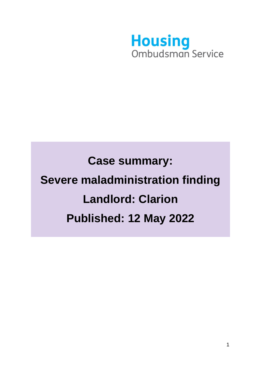

# **Case summary: Severe maladministration finding Landlord: Clarion Published: 12 May 2022**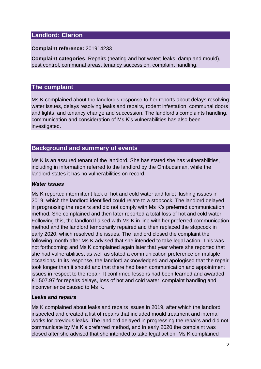# **Landlord: Clarion**

## **Complaint reference:** 201914233

**Complaint categories***:* Repairs (heating and hot water; leaks, damp and mould), pest control, communal areas, tenancy succession, complaint handling.

## **The complaint**

Ms K complained about the landlord's response to her reports about delays resolving water issues, delays resolving leaks and repairs, rodent infestation, communal doors and lights, and tenancy change and succession. The landlord's complaints handling, communication and consideration of Ms K's vulnerabilities has also been investigated.

# **Background and summary of events**

Ms K is an assured tenant of the landlord. She has stated she has vulnerabilities, including in information referred to the landlord by the Ombudsman, while the landlord states it has no vulnerabilities on record.

## *Water issues*

Ms K reported intermittent lack of hot and cold water and toilet flushing issues in 2019, which the landlord identified could relate to a stopcock. The landlord delayed in progressing the repairs and did not comply with Ms K's preferred communication method. She complained and then later reported a total loss of hot and cold water. Following this, the landlord liaised with Ms K in line with her preferred communication method and the landlord temporarily repaired and then replaced the stopcock in early 2020, which resolved the issues. The landlord closed the complaint the following month after Ms K advised that she intended to take legal action. This was not forthcoming and Ms K complained again later that year where she reported that she had vulnerabilities, as well as stated a communication preference on multiple occasions. In its response, the landlord acknowledged and apologised that the repair took longer than it should and that there had been communication and appointment issues in respect to the repair. It confirmed lessons had been learned and awarded £1,507.97 for repairs delays, loss of hot and cold water, complaint handling and inconvenience caused to Ms K.

## *Leaks and repairs*

Ms K complained about leaks and repairs issues in 2019, after which the landlord inspected and created a list of repairs that included mould treatment and internal works for previous leaks. The landlord delayed in progressing the repairs and did not communicate by Ms K's preferred method, and in early 2020 the complaint was closed after she advised that she intended to take legal action. Ms K complained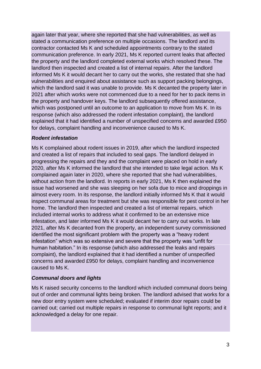again later that year, where she reported that she had vulnerabilities, as well as stated a communication preference on multiple occasions. The landlord and its contractor contacted Ms K and scheduled appointments contrary to the stated communication preference. In early 2021, Ms K reported current leaks that affected the property and the landlord completed external works which resolved these. The landlord then inspected and created a list of internal repairs. After the landlord informed Ms K it would decant her to carry out the works, she restated that she had vulnerabilities and enquired about assistance such as support packing belongings, which the landlord said it was unable to provide. Ms K decanted the property later in 2021 after which works were not commenced due to a need for her to pack items in the property and handover keys. The landlord subsequently offered assistance, which was postponed until an outcome to an application to move from Ms K. In its response (which also addressed the rodent infestation complaint), the landlord explained that it had identified a number of unspecified concerns and awarded £950 for delays, complaint handling and inconvenience caused to Ms K.

### *Rodent infestation*

Ms K complained about rodent issues in 2019, after which the landlord inspected and created a list of repairs that included to seal gaps. The landlord delayed in progressing the repairs and they and the complaint were placed on hold in early 2020, after Ms K informed the landlord that she intended to take legal action. Ms K complained again later in 2020, where she reported that she had vulnerabilities, without action from the landlord. In reports in early 2021, Ms K then explained the issue had worsened and she was sleeping on her sofa due to mice and droppings in almost every room. In its response, the landlord initially informed Ms K that it would inspect communal areas for treatment but she was responsible for pest control in her home. The landlord then inspected and created a list of internal repairs, which included internal works to address what it confirmed to be an extensive mice infestation, and later informed Ms K it would decant her to carry out works. In late 2021, after Ms K decanted from the property, an independent survey commissioned identified the most significant problem with the property was a "heavy rodent infestation" which was so extensive and severe that the property was "unfit for human habitation." In its response (which also addressed the leaks and repairs complaint), the landlord explained that it had identified a number of unspecified concerns and awarded £950 for delays, complaint handling and inconvenience caused to Ms K.

## *Communal doors and lights*

Ms K raised security concerns to the landlord which included communal doors being out of order and communal lights being broken. The landlord advised that works for a new door entry system were scheduled; evaluated if interim door repairs could be carried out; carried out multiple repairs in response to communal light reports; and it acknowledged a delay for one repair.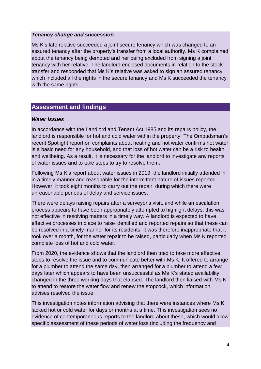#### *Tenancy change and succession*

Ms K's late relative succeeded a joint secure tenancy which was changed to an assured tenancy after the property's transfer from a local authority. Ms K complained about the tenancy being demoted and her being excluded from signing a joint tenancy with her relative. The landlord enclosed documents in relation to the stock transfer and responded that Ms K's relative was asked to sign an assured tenancy which included all the rights in the secure tenancy and Ms K succeeded the tenancy with the same rights.

## **Assessment and findings**

#### *Water issues*

In accordance with the Landlord and Tenant Act 1985 and its repairs policy, the landlord is responsible for hot and cold water within the property. The Ombudsman's recent Spotlight [report](https://www.housing-ombudsman.org.uk/wp-content/uploads/2021/02/Spotlight-on-heating-and-hot-water-report-final.pdf) on complaints about heating and hot water confirms hot water is a basic need for any household, and that loss of hot water can be a risk to health and wellbeing. As a result, it is necessary for the landlord to investigate any reports of water issues and to take steps to try to resolve them.

Following Ms K's report about water issues in 2019, the landlord initially attended in in a timely manner and reasonable for the intermittent nature of issues reported. However, it took eight months to carry out the repair, during which there were unreasonable periods of delay and service issues.

There were delays raising repairs after a surveyor's visit, and while an escalation process appears to have been appropriately attempted to highlight delays, this was not effective in resolving matters in a timely way. A landlord is expected to have effective processes in place to raise identified and reported repairs so that these can be resolved in a timely manner for its residents. It was therefore inappropriate that it took over a month, for the water repair to be raised, particularly when Ms K reported complete loss of hot and cold water.

From 2020, the evidence shows that the landlord then tried to take more effective steps to resolve the issue and to communicate better with Ms K. It offered to arrange for a plumber to attend the same day, then arranged for a plumber to attend a few days later which appears to have been unsuccessful as Ms K's stated availability changed in the three working days that elapsed. The landlord then liaised with Ms K to attend to restore the water flow and renew the stopcock, which information advises resolved the issue.

This investigation notes information advising that there were instances where Ms K lacked hot or cold water for days or months at a time. This investigation sees no evidence of contemporaneous reports to the landlord about these, which would allow specific assessment of these periods of water loss (including the frequency and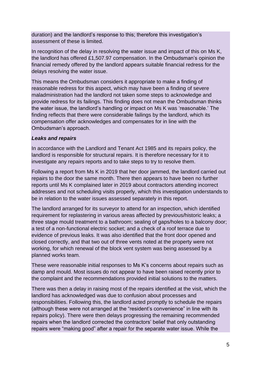duration) and the landlord's response to this; therefore this investigation's assessment of these is limited.

In recognition of the delay in resolving the water issue and impact of this on Ms K. the landlord has offered £1,507.97 compensation. In the Ombudsman's opinion the financial remedy offered by the landlord appears suitable financial redress for the delays resolving the water issue.

This means the Ombudsman considers it appropriate to make a finding of reasonable redress for this aspect, which may have been a finding of severe maladministration had the landlord not taken some steps to acknowledge and provide redress for its failings. This finding does not mean the Ombudsman thinks the water issue, the landlord's handling or impact on Ms K was 'reasonable.' The finding reflects that there were considerable failings by the landlord, which its compensation offer acknowledges and compensates for in line with the Ombudsman's approach.

## *Leaks and repairs*

In accordance with the Landlord and Tenant Act 1985 and its repairs policy, the landlord is responsible for structural repairs. It is therefore necessary for it to investigate any repairs reports and to take steps to try to resolve them.

Following a report from Ms K in 2019 that her door jammed, the landlord carried out repairs to the door the same month. There then appears to have been no further reports until Ms K complained later in 2019 about contractors attending incorrect addresses and not scheduling visits properly, which this investigation understands to be in relation to the water issues assessed separately in this report.

The landlord arranged for its surveyor to attend for an inspection, which identified requirement for replastering in various areas affected by previous/historic leaks; a three stage mould treatment to a bathroom; sealing of gaps/holes to a balcony door; a test of a non-functional electric socket; and a check of a roof terrace due to evidence of previous leaks. It was also identified that the front door opened and closed correctly, and that two out of three vents noted at the property were not working, for which renewal of the block vent system was being assessed by a planned works team.

These were reasonable initial responses to Ms K's concerns about repairs such as damp and mould. Most issues do not appear to have been raised recently prior to the complaint and the recommendations provided initial solutions to the matters.

There was then a delay in raising most of the repairs identified at the visit, which the landlord has acknowledged was due to confusion about processes and responsibilities. Following this, the landlord acted promptly to schedule the repairs (although these were not arranged at the "resident's convenience" in line with its repairs policy). There were then delays progressing the remaining recommended repairs when the landlord corrected the contractors' belief that only outstanding repairs were "making good" after a repair for the separate water issue. While the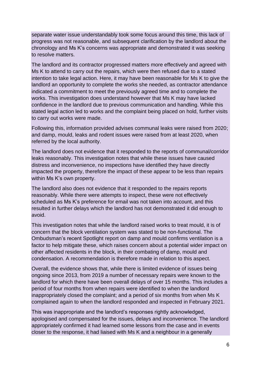separate water issue understandably took some focus around this time, this lack of progress was not reasonable, and subsequent clarification by the landlord about the chronology and Ms K's concerns was appropriate and demonstrated it was seeking to resolve matters.

The landlord and its contractor progressed matters more effectively and agreed with Ms K to attend to carry out the repairs, which were then refused due to a stated intention to take legal action. Here, it may have been reasonable for Ms K to give the landlord an opportunity to complete the works she needed, as contractor attendance indicated a commitment to meet the previously agreed time and to complete the works. This investigation does understand however that Ms K may have lacked confidence in the landlord due to previous communication and handling. While this stated legal action led to works and the complaint being placed on hold, further visits to carry out works were made.

Following this, information provided advises communal leaks were raised from 2020; and damp, mould, leaks and rodent issues were raised from at least 2020, when referred by the local authority.

The landlord does not evidence that it responded to the reports of communal/corridor leaks reasonably. This investigation notes that while these issues have caused distress and inconvenience, no inspections have identified they have directly impacted the property, therefore the impact of these appear to be less than repairs within Ms K's own property.

The landlord also does not evidence that it responded to the repairs reports reasonably. While there were attempts to inspect, these were not effectively scheduled as Ms K's preference for email was not taken into account, and this resulted in further delays which the landlord has not demonstrated it did enough to avoid.

This investigation notes that while the landlord raised works to treat mould, it is of concern that the block ventilation system was stated to be non-functional. The Ombudsman's recent Spotlight [report](https://www.housing-ombudsman.org.uk/wp-content/uploads/2021/10/Spotlight-report-Damp-and-mould-final.pdf) on damp and mould confirms ventilation is a factor to help mitigate these, which raises concern about a potential wider impact on other affected residents in the block, in their combating of damp, mould and condensation. A recommendation is therefore made in relation to this aspect.

Overall, the evidence shows that, while there is limited evidence of issues being ongoing since 2013, from 2019 a number of necessary repairs were known to the landlord for which there have been overall delays of over 15 months. This includes a period of four months from when repairs were identified to when the landlord inappropriately closed the complaint; and a period of six months from when Ms K complained again to when the landlord responded and inspected in February 2021.

This was inappropriate and the landlord's responses rightly acknowledged, apologised and compensated for the issues, delays and inconvenience. The landlord appropriately confirmed it had learned some lessons from the case and in events closer to the response, it had liaised with Ms K and a neighbour in a generally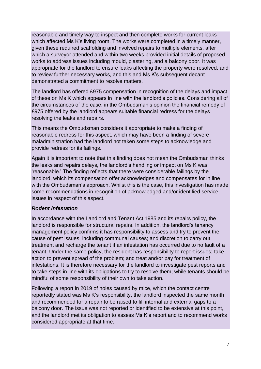reasonable and timely way to inspect and then complete works for current leaks which affected Ms K's living room. The works were completed in a timely manner, given these required scaffolding and involved repairs to multiple elements, after which a surveyor attended and within two weeks provided initial details of proposed works to address issues including mould, plastering, and a balcony door. It was appropriate for the landlord to ensure leaks affecting the property were resolved, and to review further necessary works, and this and Ms K's subsequent decant demonstrated a commitment to resolve matters.

The landlord has offered £975 compensation in recognition of the delays and impact of these on Ms K which appears in line with the landlord's policies. Considering all of the circumstances of the case, in the Ombudsman's opinion the financial remedy of £975 offered by the landlord appears suitable financial redress for the delays resolving the leaks and repairs.

This means the Ombudsman considers it appropriate to make a finding of reasonable redress for this aspect, which may have been a finding of severe maladministration had the landlord not taken some steps to acknowledge and provide redress for its failings.

Again it is important to note that this finding does not mean the Ombudsman thinks the leaks and repairs delays, the landlord's handling or impact on Ms K was 'reasonable.' The finding reflects that there were considerable failings by the landlord, which its compensation offer acknowledges and compensates for in line with the Ombudsman's approach. Whilst this is the case, this investigation has made some recommendations in recognition of acknowledged and/or identified service issues in respect of this aspect.

#### *Rodent infestation*

In accordance with the Landlord and Tenant Act 1985 and its repairs policy, the landlord is responsible for structural repairs. In addition, the landlord's tenancy management policy confirms it has responsibility to assess and try to prevent the cause of pest issues, including communal causes; and discretion to carry out treatment and recharge the tenant if an infestation has occurred due to no fault of a tenant. Under the same policy, the resident has responsibility to report issues; take action to prevent spread of the problem; and treat and/or pay for treatment of infestations. It is therefore necessary for the landlord to investigate pest reports and to take steps in line with its obligations to try to resolve them; while tenants should be mindful of some responsibility of their own to take action.

Following a report in 2019 of holes caused by mice, which the contact centre reportedly stated was Ms K's responsibility, the landlord inspected the same month and recommended for a repair to be raised to fill internal and external gaps to a balcony door. The issue was not reported or identified to be extensive at this point, and the landlord met its obligation to assess Ms K's report and to recommend works considered appropriate at that time.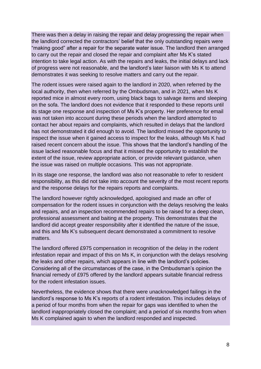There was then a delay in raising the repair and delay progressing the repair when the landlord corrected the contractors' belief that the only outstanding repairs were "making good" after a repair for the separate water issue. The landlord then arranged to carry out the repair and closed the repair and complaint after Ms K's stated intention to take legal action. As with the repairs and leaks, the initial delays and lack of progress were not reasonable, and the landlord's later liaison with Ms K to attend demonstrates it was seeking to resolve matters and carry out the repair.

The rodent issues were raised again to the landlord in 2020, when referred by the local authority, then when referred by the Ombudsman, and in 2021, when Ms K reported mice in almost every room, using black bags to salvage items and sleeping on the sofa. The landlord does not evidence that it responded to these reports until its stage one response and inspection of Ms K's property. Her preference for email was not taken into account during these periods when the landlord attempted to contact her about repairs and complaints, which resulted in delays that the landlord has not demonstrated it did enough to avoid. The landlord missed the opportunity to inspect the issue when it gained access to inspect for the leaks, although Ms K had raised recent concern about the issue. This shows that the landlord's handling of the issue lacked reasonable focus and that it missed the opportunity to establish the extent of the issue, review appropriate action, or provide relevant guidance, when the issue was raised on multiple occasions. This was not appropriate.

In its stage one response, the landlord was also not reasonable to refer to resident responsibility, as this did not take into account the severity of the most recent reports and the response delays for the repairs reports and complaints.

The landlord however rightly acknowledged, apologised and made an offer of compensation for the rodent issues in conjunction with the delays resolving the leaks and repairs, and an inspection recommended repairs to be raised for a deep clean, professional assessment and baiting at the property. This demonstrates that the landlord did accept greater responsibility after it identified the nature of the issue, and this and Ms K's subsequent decant demonstrated a commitment to resolve matters.

The landlord offered £975 compensation in recognition of the delay in the rodent infestation repair and impact of this on Ms K, in conjunction with the delays resolving the leaks and other repairs, which appears in line with the landlord's policies. Considering all of the circumstances of the case, in the Ombudsman's opinion the financial remedy of £975 offered by the landlord appears suitable financial redress for the rodent infestation issues.

Nevertheless, the evidence shows that there were unacknowledged failings in the landlord's response to Ms K's reports of a rodent infestation. This includes delays of a period of four months from when the repair for gaps was identified to when the landlord inappropriately closed the complaint; and a period of six months from when Ms K complained again to when the landlord responded and inspected.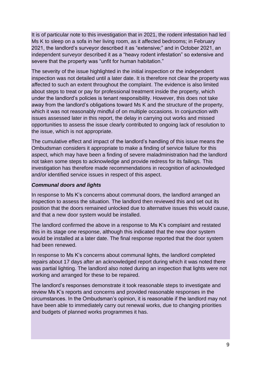It is of particular note to this investigation that in 2021, the rodent infestation had led Ms K to sleep on a sofa in her living room, as it affected bedrooms; in February 2021, the landlord's surveyor described it as "extensive;" and in October 2021, an independent surveyor described it as a "heavy rodent infestation" so extensive and severe that the property was "unfit for human habitation."

The severity of the issue highlighted in the initial inspection or the independent inspection was not detailed until a later date. It is therefore not clear the property was affected to such an extent throughout the complaint. The evidence is also limited about steps to treat or pay for professional treatment inside the property, which under the landlord's policies is tenant responsibility. However, this does not take away from the landlord's obligations toward Ms K and the structure of the property, which it was not reasonably mindful of on multiple occasions. In conjunction with issues assessed later in this report, the delay in carrying out works and missed opportunities to assess the issue clearly contributed to ongoing lack of resolution to the issue, which is not appropriate.

The cumulative effect and impact of the landlord's handling of this issue means the Ombudsman considers it appropriate to make a finding of service failure for this aspect, which may have been a finding of severe maladministration had the landlord not taken some steps to acknowledge and provide redress for its failings. This investigation has therefore made recommendations in recognition of acknowledged and/or identified service issues in respect of this aspect.

## *Communal doors and lights*

In response to Ms K's concerns about communal doors, the landlord arranged an inspection to assess the situation. The landlord then reviewed this and set out its position that the doors remained unlocked due to alternative issues this would cause, and that a new door system would be installed.

The landlord confirmed the above in a response to Ms K's complaint and restated this in its stage one response, although this indicated that the new door system would be installed at a later date. The final response reported that the door system had been renewed.

In response to Ms K's concerns about communal lights, the landlord completed repairs about 17 days after an acknowledged report during which it was noted there was partial lighting. The landlord also noted during an inspection that lights were not working and arranged for these to be repaired.

The landlord's responses demonstrate it took reasonable steps to investigate and review Ms K's reports and concerns and provided reasonable responses in the circumstances. In the Ombudsman's opinion, it is reasonable if the landlord may not have been able to immediately carry out renewal works, due to changing priorities and budgets of planned works programmes it has.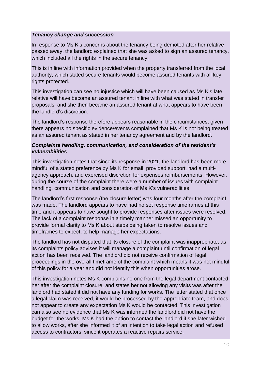### *Tenancy change and succession*

In response to Ms K's concerns about the tenancy being demoted after her relative passed away, the landlord explained that she was asked to sign an assured tenancy, which included all the rights in the secure tenancy.

This is in line with information provided when the property transferred from the local authority, which stated secure tenants would become assured tenants with all key rights protected.

This investigation can see no injustice which will have been caused as Ms K's late relative will have become an assured tenant in line with what was stated in transfer proposals, and she then became an assured tenant at what appears to have been the landlord's discretion.

The landlord's response therefore appears reasonable in the circumstances, given there appears no specific evidence/events complained that Ms K is not being treated as an assured tenant as stated in her tenancy agreement and by the landlord.

## *Complaints handling, communication, and consideration of the resident's vulnerabilities*

This investigation notes that since its response in 2021, the landlord has been more mindful of a stated preference by Ms K for email, provided support, had a multiagency approach, and exercised discretion for expenses reimbursements. However, during the course of the complaint there were a number of issues with complaint handling, communication and consideration of Ms K's vulnerabilities.

The landlord's first response (the closure letter) was four months after the complaint was made. The landlord appears to have had no set response timeframes at this time and it appears to have sought to provide responses after issues were resolved. The lack of a complaint response in a timely manner missed an opportunity to provide formal clarity to Ms K about steps being taken to resolve issues and timeframes to expect, to help manage her expectations.

The landlord has not disputed that its closure of the complaint was inappropriate, as its complaints policy advises it will manage a complaint until confirmation of legal action has been received. The landlord did not receive confirmation of legal proceedings in the overall timeframe of the complaint which means it was not mindful of this policy for a year and did not identify this when opportunities arose.

This investigation notes Ms K complains no one from the legal department contacted her after the complaint closure, and states her not allowing any visits was after the landlord had stated it did not have any funding for works. The letter stated that once a legal claim was received, it would be processed by the appropriate team, and does not appear to create any expectation Ms K would be contacted. This investigation can also see no evidence that Ms K was informed the landlord did not have the budget for the works. Ms K had the option to contact the landlord if she later wished to allow works, after she informed it of an intention to take legal action and refused access to contractors, since it operates a reactive repairs service.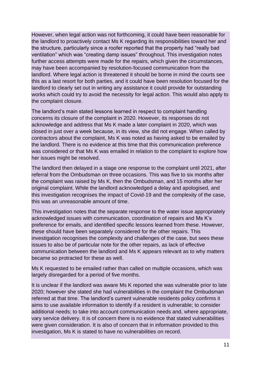However, when legal action was not forthcoming, it could have been reasonable for the landlord to proactively contact Ms K regarding its responsibilities toward her and the structure, particularly since a roofer reported that the property had "really bad ventilation" which was "creating damp issues" throughout. This investigation notes further access attempts were made for the repairs, which given the circumstances, may have been accompanied by resolution-focused communication from the landlord. Where legal action is threatened it should be borne in mind the courts see this as a last resort for both parties, and it could have been resolution focused for the landlord to clearly set out in writing any assistance it could provide for outstanding works which could try to avoid the necessity for legal action. This would also apply to the complaint closure.

The landlord's main stated lessons learned in respect to complaint handling concerns its closure of the complaint in 2020. However, its responses do not acknowledge and address that Ms K made a later complaint in 2020, which was closed in just over a week because, in its view, she did not engage. When called by contractors about the complaint, Ms K was noted as having asked to be emailed by the landlord. There is no evidence at this time that this communication preference was considered or that Ms K was emailed in relation to the complaint to explore how her issues might be resolved.

The landlord then delayed in a stage one response to the complaint until 2021, after referral from the Ombudsman on three occasions. This was five to six months after the complaint was raised by Ms K, then the Ombudsman, and 15 months after her original complaint. While the landlord acknowledged a delay and apologised, and this investigation recognises the impact of Covid-19 and the complexity of the case, this was an unreasonable amount of time.

This investigation notes that the separate response to the water issue appropriately acknowledged issues with communication, coordination of repairs and Ms K's preference for emails, and identified specific lessons learned from these. However, these should have been separately considered for the other repairs. This investigation recognises the complexity and challenges of the case, but sees these issues to also be of particular note for the other repairs, as lack of effective communication between the landlord and Ms K appears relevant as to why matters became so protracted for these as well.

Ms K requested to be emailed rather than called on multiple occasions, which was largely disregarded for a period of five months.

It is unclear if the landlord was aware Ms K reported she was vulnerable prior to late 2020; however she stated she had vulnerabilities in the complaint the Ombudsman referred at that time. The landlord's current vulnerable residents policy confirms it aims to use available information to identify if a resident is vulnerable; to consider additional needs; to take into account communication needs and, where appropriate, vary service delivery. It is of concern there is no evidence that stated vulnerabilities were given consideration. It is also of concern that in information provided to this investigation, Ms K is stated to have no vulnerabilities on record.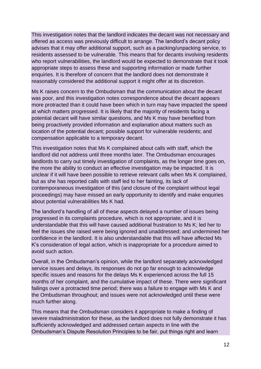This investigation notes that the landlord indicates the decant was not necessary and offered as access was previously difficult to arrange. The landlord's decant policy advises that it may offer additional support, such as a packing/unpacking service, to residents assessed to be vulnerable. This means that for decants involving residents who report vulnerabilities, the landlord would be expected to demonstrate that it took appropriate steps to assess these and supporting information or made further enquiries. It is therefore of concern that the landlord does not demonstrate it reasonably considered the additional support it might offer at its discretion.

Ms K raises concern to the Ombudsman that the communication about the decant was poor, and this investigation notes correspondence about the decant appears more protracted than it could have been which in turn may have impacted the speed at which matters progressed. It is likely that the majority of residents facing a potential decant will have similar questions, and Ms K may have benefited from being proactively provided information and explanation about matters such as location of the potential decant; possible support for vulnerable residents; and compensation applicable to a temporary decant.

This investigation notes that Ms K complained about calls with staff, which the landlord did not address until three months later. The Ombudsman encourages landlords to carry out timely investigation of complaints, as the longer time goes on, the more the ability to conduct an effective investigation may be impacted. It is unclear if it will have been possible to retrieve relevant calls when Ms K complained, but as she has reported calls with staff led to her fainting, its lack of contemporaneous investigation of this (and closure of the complaint without legal proceedings) may have missed an early opportunity to identify and make enquiries about potential vulnerabilities Ms K had.

The landlord's handling of all of these aspects delayed a number of issues being progressed in its complaints procedure, which is not appropriate, and it is understandable that this will have caused additional frustration to Ms K; led her to feel the issues she raised were being ignored and unaddressed; and undermined her confidence in the landlord. It is also understandable that this will have affected Ms K's consideration of legal action, which is inappropriate for a procedure aimed to avoid such action.

Overall, in the Ombudsman's opinion, while the landlord separately acknowledged service issues and delays, its responses do not go far enough to acknowledge specific issues and reasons for the delays Ms K experienced across the full 15 months of her complaint, and the cumulative impact of these. There were significant failings over a protracted time period; there was a failure to engage with Ms K and the Ombudsman throughout; and issues were not acknowledged until these were much further along.

This means that the Ombudsman considers it appropriate to make a finding of severe maladministration for these, as the landlord does not fully demonstrate it has sufficiently acknowledged and addressed certain aspects in line with the Ombudsman's Dispute Resolution Principles to be fair, put things right and learn